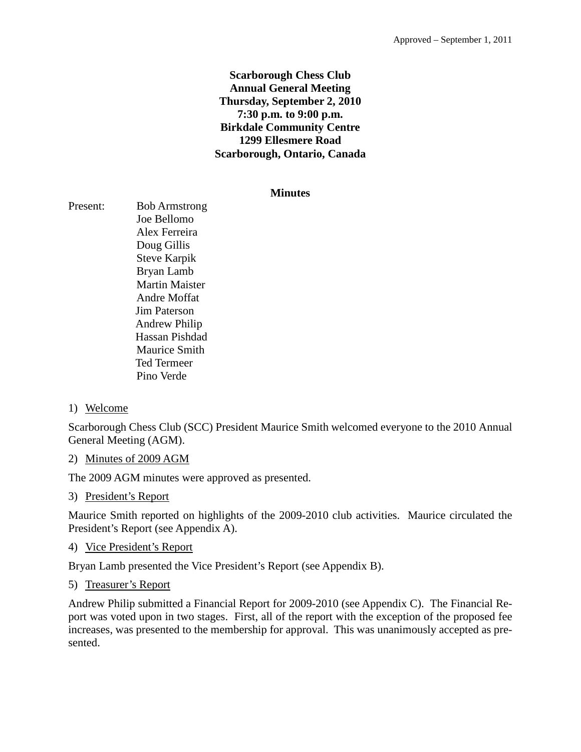## **Scarborough Chess Club Annual General Meeting Thursday, September 2, 2010 7:30 p.m. to 9:00 p.m. Birkdale Community Centre 1299 Ellesmere Road Scarborough, Ontario, Canada**

#### **Minutes**

Present: Bob Armstrong Joe Bellomo Alex Ferreira Doug Gillis Steve Karpik Bryan Lamb Martin Maister Andre Moffat Jim Paterson Andrew Philip Hassan Pishdad Maurice Smith Ted Termeer Pino Verde

## 1) Welcome

Scarborough Chess Club (SCC) President Maurice Smith welcomed everyone to the 2010 Annual General Meeting (AGM).

## 2) Minutes of 2009 AGM

The 2009 AGM minutes were approved as presented.

#### 3) President's Report

Maurice Smith reported on highlights of the 2009-2010 club activities. Maurice circulated the President's Report (see Appendix A).

#### 4) Vice President's Report

Bryan Lamb presented the Vice President's Report (see Appendix B).

#### 5) Treasurer's Report

Andrew Philip submitted a Financial Report for 2009-2010 (see Appendix C). The Financial Report was voted upon in two stages. First, all of the report with the exception of the proposed fee increases, was presented to the membership for approval. This was unanimously accepted as presented.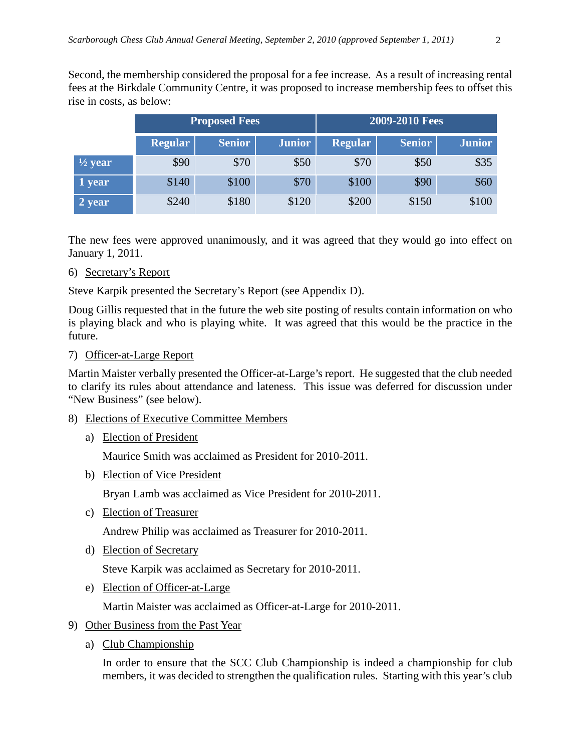Second, the membership considered the proposal for a fee increase. As a result of increasing rental fees at the Birkdale Community Centre, it was proposed to increase membership fees to offset this rise in costs, as below:

|                    | <b>Proposed Fees</b> |               | 2009-2010 Fees |                |               |               |
|--------------------|----------------------|---------------|----------------|----------------|---------------|---------------|
|                    | <b>Regular</b>       | <b>Senior</b> | <b>Junior</b>  | <b>Regular</b> | <b>Senior</b> | <b>Junior</b> |
| $\frac{1}{2}$ year | \$90                 | \$70          | \$50           | \$70           | \$50          | \$35          |
| 1 year             | \$140                | \$100         | \$70           | \$100          | \$90          | \$60          |
| 2 year             | \$240                | \$180         | \$120          | \$200          | \$150         | \$100         |

The new fees were approved unanimously, and it was agreed that they would go into effect on January 1, 2011.

6) Secretary's Report

Steve Karpik presented the Secretary's Report (see Appendix D).

Doug Gillis requested that in the future the web site posting of results contain information on who is playing black and who is playing white. It was agreed that this would be the practice in the future.

## 7) Officer-at-Large Report

Martin Maister verbally presented the Officer-at-Large's report. He suggested that the club needed to clarify its rules about attendance and lateness. This issue was deferred for discussion under "New Business" (see below).

- 8) Elections of Executive Committee Members
	- a) Election of President

Maurice Smith was acclaimed as President for 2010-2011.

b) Election of Vice President

Bryan Lamb was acclaimed as Vice President for 2010-2011.

c) Election of Treasurer

Andrew Philip was acclaimed as Treasurer for 2010-2011.

d) Election of Secretary

Steve Karpik was acclaimed as Secretary for 2010-2011.

e) Election of Officer-at-Large

Martin Maister was acclaimed as Officer-at-Large for 2010-2011.

- 9) Other Business from the Past Year
	- a) Club Championship

In order to ensure that the SCC Club Championship is indeed a championship for club members, it was decided to strengthen the qualification rules. Starting with this year's club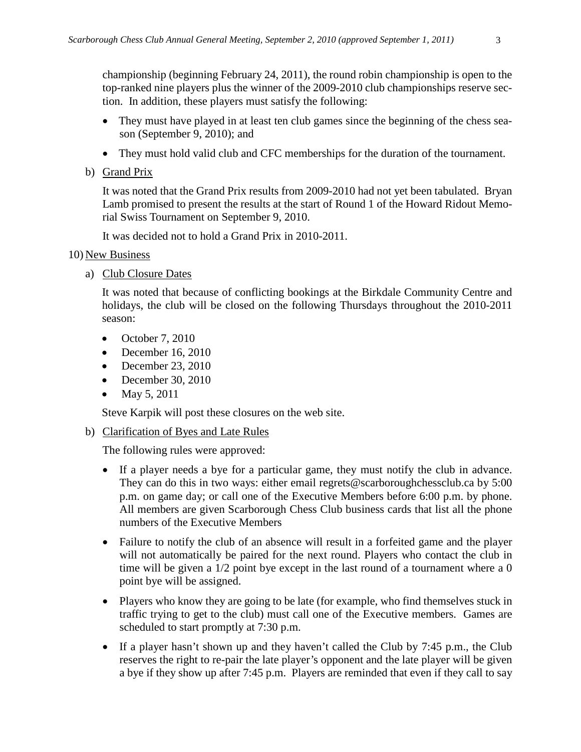championship (beginning February 24, 2011), the round robin championship is open to the top-ranked nine players plus the winner of the 2009-2010 club championships reserve section. In addition, these players must satisfy the following:

- They must have played in at least ten club games since the beginning of the chess season (September 9, 2010); and
- They must hold valid club and CFC memberships for the duration of the tournament.
- b) Grand Prix

It was noted that the Grand Prix results from 2009-2010 had not yet been tabulated. Bryan Lamb promised to present the results at the start of Round 1 of the Howard Ridout Memorial Swiss Tournament on September 9, 2010.

It was decided not to hold a Grand Prix in 2010-2011.

## 10) New Business

a) Club Closure Dates

It was noted that because of conflicting bookings at the Birkdale Community Centre and holidays, the club will be closed on the following Thursdays throughout the 2010-2011 season:

- October 7, 2010
- December 16, 2010
- December 23, 2010
- December 30, 2010
- May 5, 2011

Steve Karpik will post these closures on the web site.

b) Clarification of Byes and Late Rules

The following rules were approved:

- If a player needs a bye for a particular game, they must notify the club in advance. They can do this in two ways: either email regrets@scarboroughchessclub.ca by 5:00 p.m. on game day; or call one of the Executive Members before 6:00 p.m. by phone. All members are given Scarborough Chess Club business cards that list all the phone numbers of the Executive Members
- Failure to notify the club of an absence will result in a forfeited game and the player will not automatically be paired for the next round. Players who contact the club in time will be given a 1/2 point bye except in the last round of a tournament where a 0 point bye will be assigned.
- Players who know they are going to be late (for example, who find themselves stuck in traffic trying to get to the club) must call one of the Executive members. Games are scheduled to start promptly at 7:30 p.m.
- If a player hasn't shown up and they haven't called the Club by 7:45 p.m., the Club reserves the right to re-pair the late player's opponent and the late player will be given a bye if they show up after 7:45 p.m. Players are reminded that even if they call to say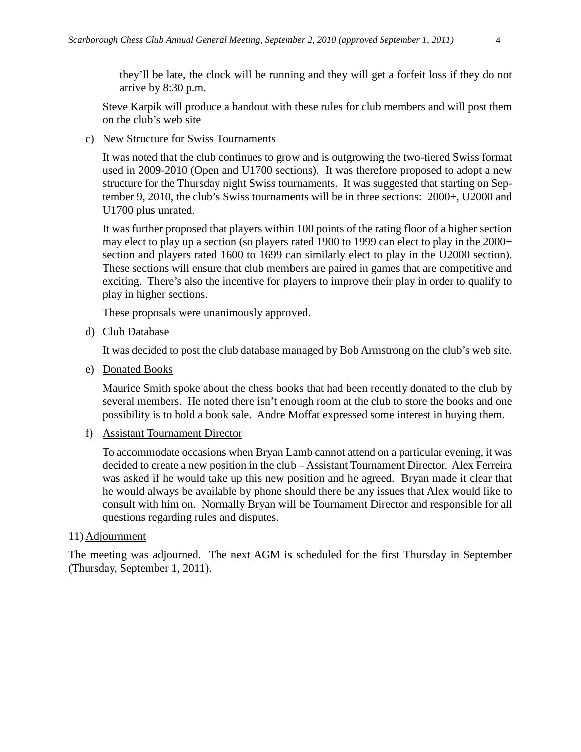they'll be late, the clock will be running and they will get a forfeit loss if they do not arrive by 8:30 p.m.

Steve Karpik will produce a handout with these rules for club members and will post them on the club's web site

c) New Structure for Swiss Tournaments

It was noted that the club continues to grow and is outgrowing the two-tiered Swiss format used in 2009-2010 (Open and U1700 sections). It was therefore proposed to adopt a new structure for the Thursday night Swiss tournaments. It was suggested that starting on September 9, 2010, the club's Swiss tournaments will be in three sections: 2000+, U2000 and U1700 plus unrated.

It was further proposed that players within 100 points of the rating floor of a higher section may elect to play up a section (so players rated 1900 to 1999 can elect to play in the 2000+ section and players rated 1600 to 1699 can similarly elect to play in the U2000 section). These sections will ensure that club members are paired in games that are competitive and exciting. There's also the incentive for players to improve their play in order to qualify to play in higher sections.

These proposals were unanimously approved.

d) Club Database

It was decided to post the club database managed by Bob Armstrong on the club's web site.

e) Donated Books

Maurice Smith spoke about the chess books that had been recently donated to the club by several members. He noted there isn't enough room at the club to store the books and one possibility is to hold a book sale. Andre Moffat expressed some interest in buying them.

f) Assistant Tournament Director

To accommodate occasions when Bryan Lamb cannot attend on a particular evening, it was decided to create a new position in the club – Assistant Tournament Director. Alex Ferreira was asked if he would take up this new position and he agreed. Bryan made it clear that he would always be available by phone should there be any issues that Alex would like to consult with him on. Normally Bryan will be Tournament Director and responsible for all questions regarding rules and disputes.

## 11) Adjournment

The meeting was adjourned. The next AGM is scheduled for the first Thursday in September (Thursday, September 1, 2011).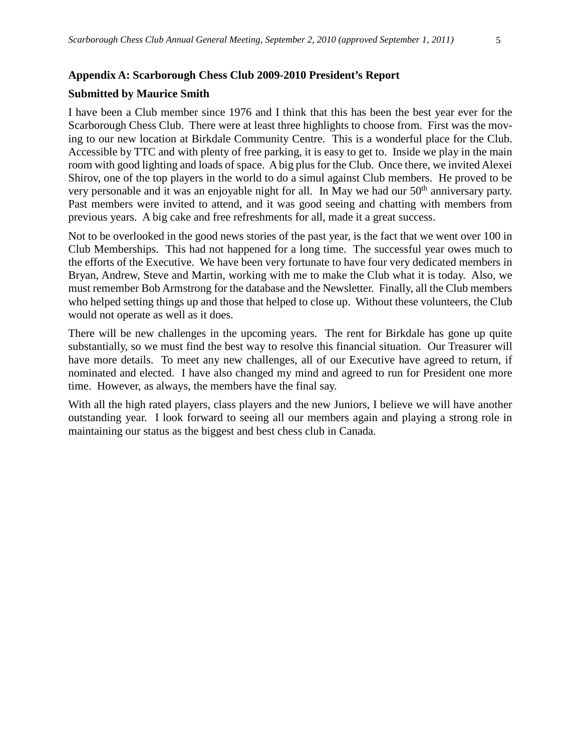#### **Appendix A: Scarborough Chess Club 2009-2010 President's Report**

#### **Submitted by Maurice Smith**

I have been a Club member since 1976 and I think that this has been the best year ever for the Scarborough Chess Club. There were at least three highlights to choose from. First was the moving to our new location at Birkdale Community Centre. This is a wonderful place for the Club. Accessible by TTC and with plenty of free parking, it is easy to get to. Inside we play in the main room with good lighting and loads of space. A big plus for the Club. Once there, we invited Alexei Shirov, one of the top players in the world to do a simul against Club members. He proved to be very personable and it was an enjoyable night for all. In May we had our 50<sup>th</sup> anniversary party. Past members were invited to attend, and it was good seeing and chatting with members from previous years. A big cake and free refreshments for all, made it a great success.

Not to be overlooked in the good news stories of the past year, is the fact that we went over 100 in Club Memberships. This had not happened for a long time. The successful year owes much to the efforts of the Executive. We have been very fortunate to have four very dedicated members in Bryan, Andrew, Steve and Martin, working with me to make the Club what it is today. Also, we must remember Bob Armstrong for the database and the Newsletter. Finally, all the Club members who helped setting things up and those that helped to close up. Without these volunteers, the Club would not operate as well as it does.

There will be new challenges in the upcoming years. The rent for Birkdale has gone up quite substantially, so we must find the best way to resolve this financial situation. Our Treasurer will have more details. To meet any new challenges, all of our Executive have agreed to return, if nominated and elected. I have also changed my mind and agreed to run for President one more time. However, as always, the members have the final say.

With all the high rated players, class players and the new Juniors, I believe we will have another outstanding year. I look forward to seeing all our members again and playing a strong role in maintaining our status as the biggest and best chess club in Canada.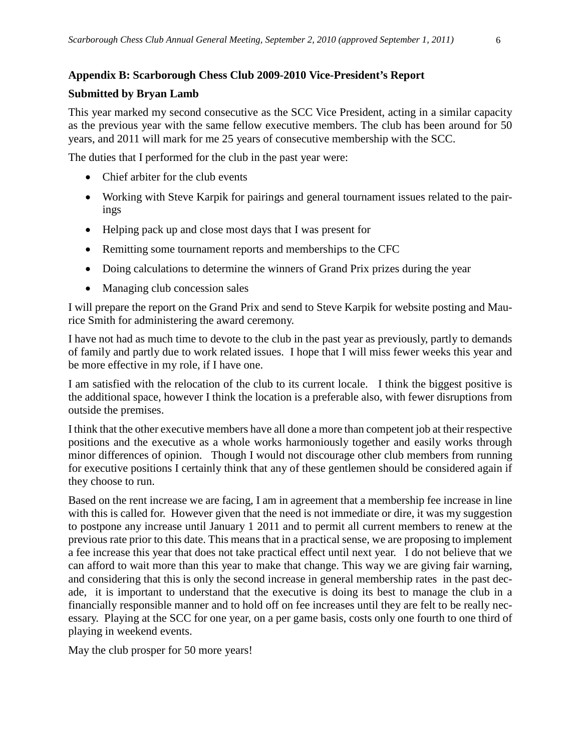## **Appendix B: Scarborough Chess Club 2009-2010 Vice-President's Report**

## **Submitted by Bryan Lamb**

This year marked my second consecutive as the SCC Vice President, acting in a similar capacity as the previous year with the same fellow executive members. The club has been around for 50 years, and 2011 will mark for me 25 years of consecutive membership with the SCC.

The duties that I performed for the club in the past year were:

- Chief arbiter for the club events
- Working with Steve Karpik for pairings and general tournament issues related to the pairings
- Helping pack up and close most days that I was present for
- Remitting some tournament reports and memberships to the CFC
- Doing calculations to determine the winners of Grand Prix prizes during the year
- Managing club concession sales

I will prepare the report on the Grand Prix and send to Steve Karpik for website posting and Maurice Smith for administering the award ceremony.

I have not had as much time to devote to the club in the past year as previously, partly to demands of family and partly due to work related issues. I hope that I will miss fewer weeks this year and be more effective in my role, if I have one.

I am satisfied with the relocation of the club to its current locale. I think the biggest positive is the additional space, however I think the location is a preferable also, with fewer disruptions from outside the premises.

I think that the other executive members have all done a more than competent job at their respective positions and the executive as a whole works harmoniously together and easily works through minor differences of opinion. Though I would not discourage other club members from running for executive positions I certainly think that any of these gentlemen should be considered again if they choose to run.

Based on the rent increase we are facing, I am in agreement that a membership fee increase in line with this is called for. However given that the need is not immediate or dire, it was my suggestion to postpone any increase until January 1 2011 and to permit all current members to renew at the previous rate prior to this date. This means that in a practical sense, we are proposing to implement a fee increase this year that does not take practical effect until next year. I do not believe that we can afford to wait more than this year to make that change. This way we are giving fair warning, and considering that this is only the second increase in general membership rates in the past decade, it is important to understand that the executive is doing its best to manage the club in a financially responsible manner and to hold off on fee increases until they are felt to be really necessary. Playing at the SCC for one year, on a per game basis, costs only one fourth to one third of playing in weekend events.

May the club prosper for 50 more years!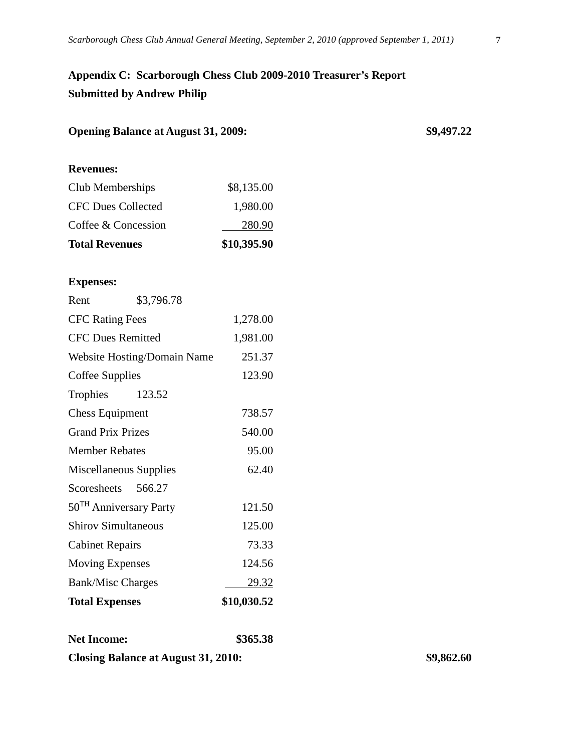# **Appendix C: Scarborough Chess Club 2009-2010 Treasurer's Report Submitted by Andrew Philip**

| <b>Opening Balance at August 31, 2009:</b> | \$9,497.22 |  |
|--------------------------------------------|------------|--|
|                                            |            |  |

### **Revenues:**

| <b>Total Revenues</b>     | \$10,395.90 |
|---------------------------|-------------|
| Coffee & Concession       | 280.90      |
| <b>CFC Dues Collected</b> | 1,980.00    |
| Club Memberships          | \$8,135.00  |

## **Expenses:**

| <b>Total Expenses</b>              |            | \$10,030.52  |
|------------------------------------|------------|--------------|
| <b>Bank/Misc Charges</b>           |            | <u>29.32</u> |
| <b>Moving Expenses</b>             |            | 124.56       |
| <b>Cabinet Repairs</b>             |            | 73.33        |
| <b>Shirov Simultaneous</b>         |            | 125.00       |
| 50 <sup>TH</sup> Anniversary Party |            | 121.50       |
| Scoresheets 566.27                 |            |              |
| Miscellaneous Supplies             |            | 62.40        |
| <b>Member Rebates</b>              |            | 95.00        |
| <b>Grand Prix Prizes</b>           |            | 540.00       |
| <b>Chess Equipment</b>             |            | 738.57       |
| Trophies 123.52                    |            |              |
| Coffee Supplies                    |            | 123.90       |
| Website Hosting/Domain Name        |            | 251.37       |
| <b>CFC Dues Remitted</b>           |            | 1,981.00     |
| <b>CFC Rating Fees</b>             |            | 1,278.00     |
| Rent                               | \$3,796.78 |              |

**Net Income: \$365.38 Closing Balance at August 31, 2010: \$9,862.60**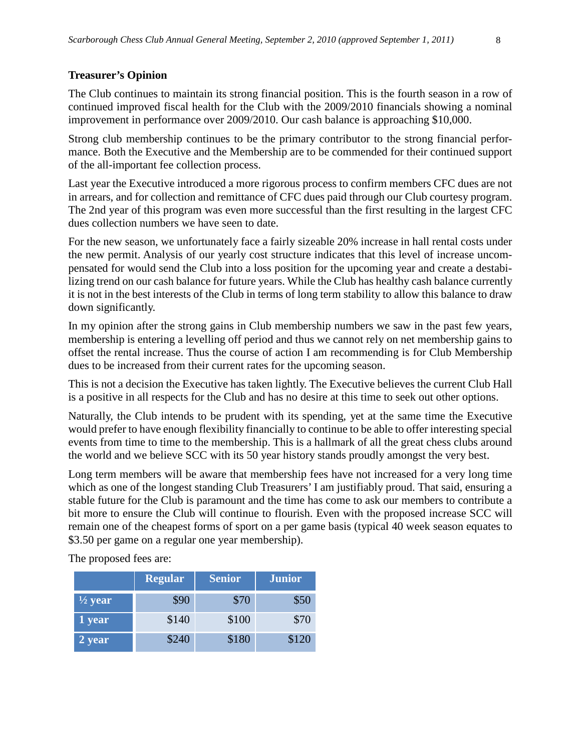#### **Treasurer's Opinion**

The Club continues to maintain its strong financial position. This is the fourth season in a row of continued improved fiscal health for the Club with the 2009/2010 financials showing a nominal improvement in performance over 2009/2010. Our cash balance is approaching \$10,000.

Strong club membership continues to be the primary contributor to the strong financial performance. Both the Executive and the Membership are to be commended for their continued support of the all-important fee collection process.

Last year the Executive introduced a more rigorous process to confirm members CFC dues are not in arrears, and for collection and remittance of CFC dues paid through our Club courtesy program. The 2nd year of this program was even more successful than the first resulting in the largest CFC dues collection numbers we have seen to date.

For the new season, we unfortunately face a fairly sizeable 20% increase in hall rental costs under the new permit. Analysis of our yearly cost structure indicates that this level of increase uncompensated for would send the Club into a loss position for the upcoming year and create a destabilizing trend on our cash balance for future years. While the Club has healthy cash balance currently it is not in the best interests of the Club in terms of long term stability to allow this balance to draw down significantly.

In my opinion after the strong gains in Club membership numbers we saw in the past few years, membership is entering a levelling off period and thus we cannot rely on net membership gains to offset the rental increase. Thus the course of action I am recommending is for Club Membership dues to be increased from their current rates for the upcoming season.

This is not a decision the Executive has taken lightly. The Executive believes the current Club Hall is a positive in all respects for the Club and has no desire at this time to seek out other options.

Naturally, the Club intends to be prudent with its spending, yet at the same time the Executive would prefer to have enough flexibility financially to continue to be able to offer interesting special events from time to time to the membership. This is a hallmark of all the great chess clubs around the world and we believe SCC with its 50 year history stands proudly amongst the very best.

Long term members will be aware that membership fees have not increased for a very long time which as one of the longest standing Club Treasurers' I am justifiably proud. That said, ensuring a stable future for the Club is paramount and the time has come to ask our members to contribute a bit more to ensure the Club will continue to flourish. Even with the proposed increase SCC will remain one of the cheapest forms of sport on a per game basis (typical 40 week season equates to \$3.50 per game on a regular one year membership).

|                     | <b>Regular</b> | <b>Senior</b> | <b>Junior</b> |
|---------------------|----------------|---------------|---------------|
| $\frac{1}{2}$ year  | \$90           | \$70          | \$50          |
| 1 year              | \$140          | \$100         | \$70          |
| $2 \,\mathrm{year}$ | \$240          | \$180         | \$120         |

The proposed fees are: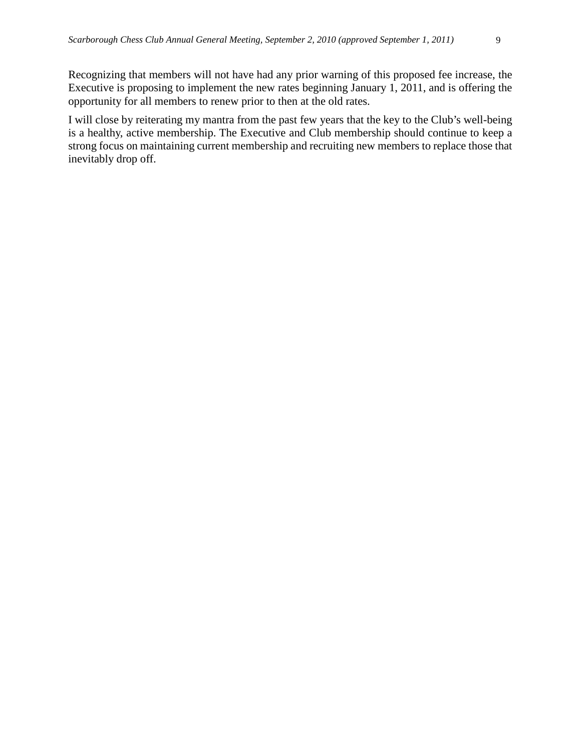I will close by reiterating my mantra from the past few years that the key to the Club's well-being is a healthy, active membership. The Executive and Club membership should continue to keep a strong focus on maintaining current membership and recruiting new members to replace those that inevitably drop off.